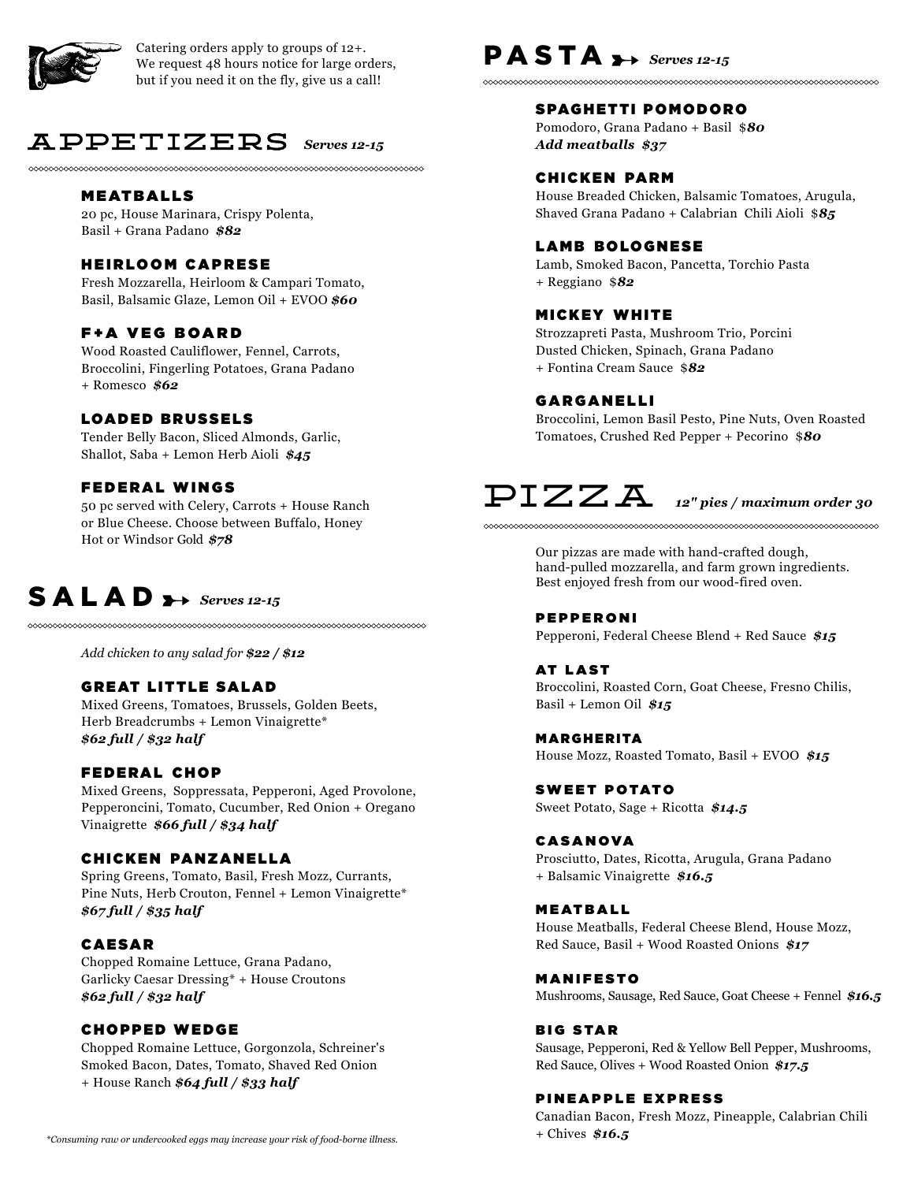

Catering orders apply to groups of 12+. We request 48 hours notice for large orders, but if you need it on the fly, give us a call!

# APPETIZERS *Serves 12-15*

# MEATBALLS

20 pc, House Marinara, Crispy Polenta, Basil + Grana Padano *\$82*

### HEIRLOOM CAPRESE

Fresh Mozzarella, Heirloom & Campari Tomato, Basil, Balsamic Glaze, Lemon Oil + EVOO *\$60*

# F+A VEG BOARD

Wood Roasted Cauliflower, Fennel, Carrots, Broccolini, Fingerling Potatoes, Grana Padano + Romesco *\$62*

# LOADED BRUSSELS

Tender Belly Bacon, Sliced Almonds, Garlic, Shallot, Saba + Lemon Herb Aioli *\$45*

# FEDERAL WINGS

50 pc served with Celery, Carrots + House Ranch or Blue Cheese. Choose between Buffalo, Honey Hot or Windsor Gold *\$78*

# $S A L A D \rightarrow$  Serves 12-15

*Add chicken to any salad for \$22 / \$12*

### **GREAT LITTLE SALAD**

Mixed Greens, Tomatoes, Brussels, Golden Beets, Herb Breadcrumbs + Lemon Vinaigrette\* *\$62 full / \$32 half*

# FEDERAL CHOP

Mixed Greens, Soppressata, Pepperoni, Aged Provolone, Pepperoncini, Tomato, Cucumber, Red Onion + Oregano Vinaigrette *\$66 full / \$34 half*

#### **CHICKEN PANZANELLA**

Spring Greens, Tomato, Basil, Fresh Mozz, Currants, Pine Nuts, Herb Crouton, Fennel + Lemon Vinaigrette\* *\$67 full / \$35 half*

### CAESAR

Chopped Romaine Lettuce, Grana Padano, Garlicky Caesar Dressing\* + House Croutons *\$62 full / \$32 half*

# CHOPPED WEDGE

Chopped Romaine Lettuce, Gorgonzola, Schreiner's Smoked Bacon, Dates, Tomato, Shaved Red Onion + House Ranch *\$64 full / \$33 half*

# PASTA >> Serves 12-15

#### SPAGHETTI POMODORO

Pomodoro, Grana Padano + Basil \$*80 Add meatballs \$37*

#### **CHICKEN PARM**

House Breaded Chicken, Balsamic Tomatoes, Arugula, Shaved Grana Padano + Calabrian Chili Aioli \$*85*

# LAMB BOLOGNESE

Lamb, Smoked Bacon, Pancetta, Torchio Pasta + Reggiano \$*82*

# **MICKEY WHITE**

Strozzapreti Pasta, Mushroom Trio, Porcini Dusted Chicken, Spinach, Grana Padano + Fontina Cream Sauce \$*82*

# GARGANELLI

Broccolini, Lemon Basil Pesto, Pine Nuts, Oven Roasted Tomatoes, Crushed Red Pepper + Pecorino \$*80*

# ${\rm PIZZA}$   $_{\scriptscriptstyle 12" \, \scriptscriptstyle pies\, /$  maximum order 30

Our pizzas are made with hand-crafted dough, hand-pulled mozzarella, and farm grown ingredients. Best enjoyed fresh from our wood-fired oven.

#### PEPPERONI Pepperoni, Federal Cheese Blend + Red Sauce *\$15*

#### **AT LAST**

Broccolini, Roasted Corn, Goat Cheese, Fresno Chilis, Basil + Lemon Oil *\$15*

MARGHERITA House Mozz, Roasted Tomato, Basil + EVOO *\$15*

**SWEET POTATO** Sweet Potato, Sage + Ricotta *\$14.5*

#### **CASANOVA**

Prosciutto, Dates, Ricotta, Arugula, Grana Padano + Balsamic Vinaigrette *\$16.5*

**MEATBALL** House Meatballs, Federal Cheese Blend, House Mozz,

Red Sauce, Basil + Wood Roasted Onions *\$17*

**MANIFESTO** Mushrooms, Sausage, Red Sauce, Goat Cheese + Fennel *\$16.5*

#### **BIG STAR**

Sausage, Pepperoni, Red & Yellow Bell Pepper, Mushrooms, Red Sauce, Olives + Wood Roasted Onion *\$17.5*

#### PINEAPPLE EXPRESS

Canadian Bacon, Fresh Mozz, Pineapple, Calabrian Chili + Chives *\$16.5*